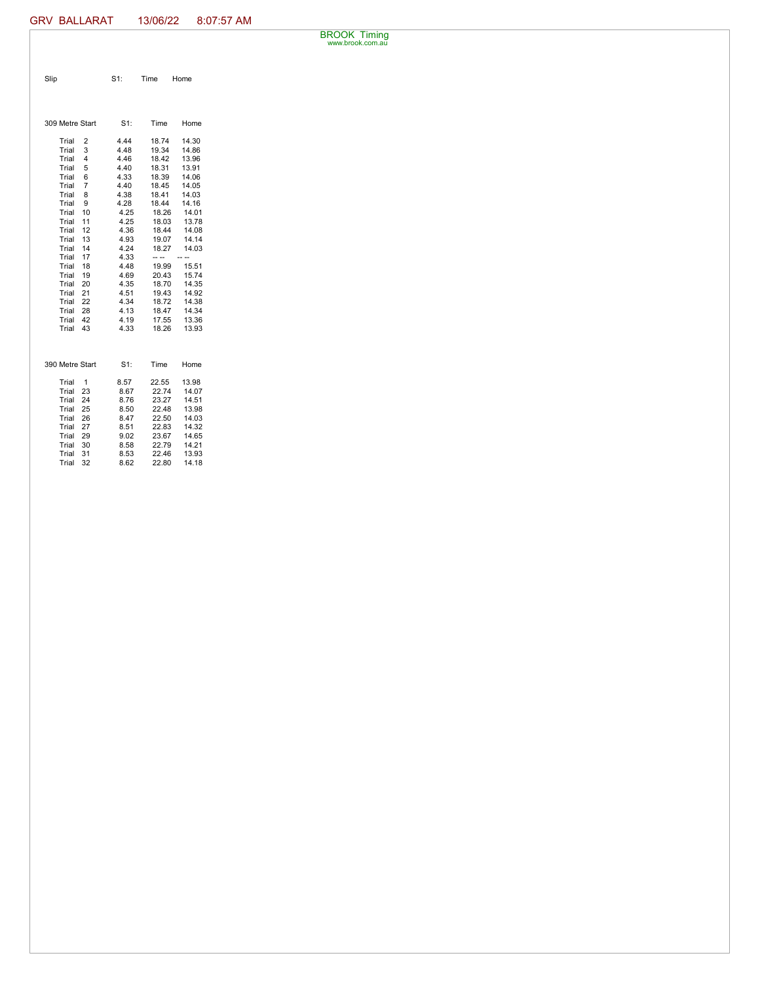BROOK Timing www.brook.com.au

| Slip | $S1$ : | <b>Time</b> | Home |
|------|--------|-------------|------|
|      |        |             |      |

| 309 Metre Start         | $S1$ : | Time  | Home  |  |  |
|-------------------------|--------|-------|-------|--|--|
| Trial<br>2              | 4.44   | 18.74 | 14.30 |  |  |
| Trial<br>3              | 4.48   | 19.34 | 14.86 |  |  |
| Trial<br>4              | 4.46   | 18.42 | 13.96 |  |  |
| Trial<br>5              | 4.40   | 18.31 | 13.91 |  |  |
| Trial<br>6              | 4.33   | 18.39 | 14.06 |  |  |
| $\overline{7}$<br>Trial | 4.40   | 18.45 | 14.05 |  |  |
| Trial<br>8              | 4.38   | 18.41 | 14.03 |  |  |
| Trial<br>9              | 4.28   | 18.44 | 14.16 |  |  |
| Trial<br>10             | 4.25   | 18.26 | 14.01 |  |  |
| 11<br>Trial             | 4.25   | 18.03 | 13.78 |  |  |
| 12<br>Trial             | 4.36   | 18.44 | 14.08 |  |  |
| 13<br>Trial             | 4.93   | 19.07 | 14.14 |  |  |
| 14<br>Trial             | 4.24   | 18.27 | 14.03 |  |  |
| 17<br>Trial             | 4.33   | -- -- |       |  |  |
| Trial<br>18             | 4.48   | 19.99 | 15.51 |  |  |
| Trial<br>19             | 4.69   | 20.43 | 15.74 |  |  |
| Trial<br>20             | 4.35   | 18.70 | 14.35 |  |  |
| Trial<br>21             | 4.51   | 19.43 | 14.92 |  |  |
| Trial<br>22             | 4.34   | 18.72 | 14.38 |  |  |
| Trial<br>28             | 4.13   | 18.47 | 14.34 |  |  |
| 42<br>Trial             | 4.19   | 17.55 | 13.36 |  |  |
| 43<br>Trial             | 4.33   | 18.26 | 13.93 |  |  |
|                         |        |       |       |  |  |
| 390 Metre Start         | $S1$ : | Time  | Home  |  |  |
| Trial<br>1              | 8.57   | 22.55 | 13.98 |  |  |
| Trial<br>23             | 8.67   | 22.74 | 14.07 |  |  |
| 24<br>Trial             | 8.76   | 23.27 | 14.51 |  |  |
| Trial<br>25             | 8.50   | 22.48 | 13.98 |  |  |
| 26<br>Trial             | 8.47   | 22.50 | 14.03 |  |  |
| Trial<br>27             | 8.51   | 22.83 | 14.32 |  |  |
| Trial<br>29             | 9.02   | 23.67 | 14.65 |  |  |
| Trial<br>30             | 8.58   | 22.79 | 14.21 |  |  |
| Trial<br>31             | 8.53   | 22.46 | 13.93 |  |  |
| 32<br>Trial             | 8.62   | 22.80 | 14.18 |  |  |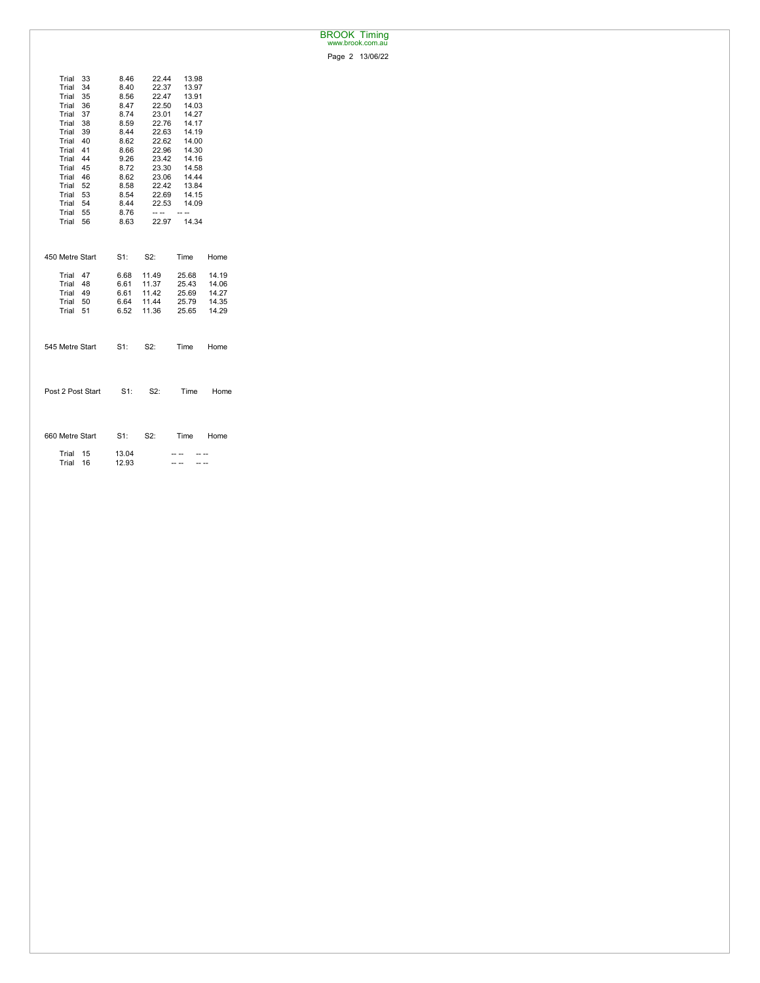## BROOK Timing www.brook.com.au

Page 2 13/06/22

| Trial<br>Trial<br>34 | 33 | 8.46<br>8.40 | 22.44<br>22.37 | 13.98<br>13.97 |       |
|----------------------|----|--------------|----------------|----------------|-------|
| Trial 35             |    | 8.56         | 22.47          | 13.91          |       |
| Trial<br>36          |    | 8.47         | 22.50          | 14.03          |       |
| Trial 37             |    | 8.74         | 23.01          | 14.27          |       |
| Trial 38             |    | 8.59         | 22.76          | 14.17          |       |
| Trial 39             |    | 8.44         | 22.63          | 14.19          |       |
| Trial 40             |    | 8.62         | 22.62          | 14.00          |       |
| Trial 41             |    | 8.66         | 22.96          | 14.30          |       |
| Trial 44             |    | 9.26         | 23.42          | 14.16          |       |
| Trial 45             |    | 8.72         | 23.30          | 14.58          |       |
| Trial 46             |    | 8.62         | 23.06          | 14.44          |       |
| Trial 52             |    | 8.58         | 22.42          | 13.84          |       |
| Trial 53             |    | 8.54         | 22.69          | 14.15          |       |
| Trial 54             |    | 8.44         | 22.53          | 14.09          |       |
| Trial 55             |    | 8.76         | $- - -$        | - --           |       |
| Trial 56             |    | 8.63         |                | 22.97 14.34    |       |
|                      |    |              |                |                |       |
| 450 Metre Start      |    | $S1$ :       | S2:            | Time           | Home  |
| Trial 47             |    | 6.68         | 11.49          | 25.68          | 14.19 |
| Trial 48             |    | 6.61         | 11.37          | 25.43          | 14.06 |
| Trial 49             |    | 6.61         | 11.42          | 25.69          | 14.27 |
| Trial 50             |    | 6.64         | 11.44          | 25.79          | 14.35 |
| Trial 51             |    | 6.52         | 11.36          | 25.65          | 14.29 |
|                      |    |              |                |                |       |
| 545 Metre Start      |    | $S1$ :       | S2:            | Time Home      |       |
|                      |    |              |                |                |       |
| Post 2 Post Start    |    | - S1:        | S2:            | Time           | Home  |
|                      |    |              |                |                |       |
| 660 Metre Start      |    | $S1$ :       | S2:            | Time Home      |       |
| Trial 15             |    | 13.04        |                |                |       |
| Trial                | 16 | 12.93        |                | -- --          |       |